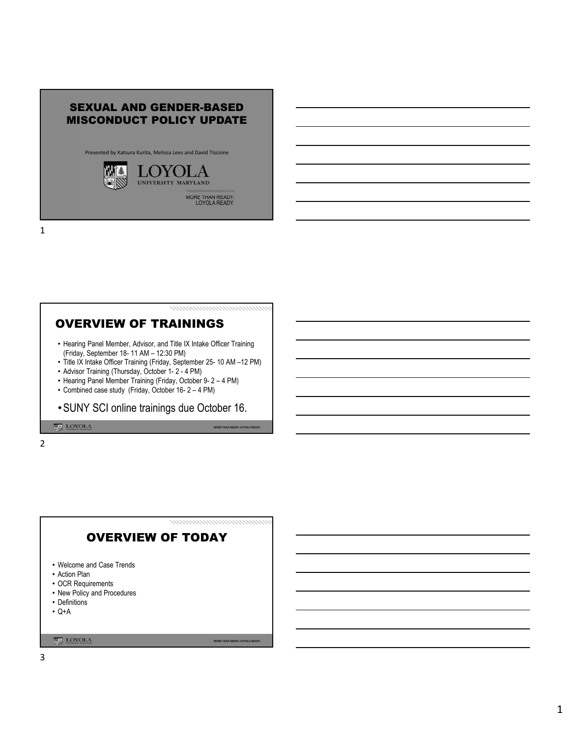## SEXUAL AND GENDER-BASED MISCONDUCT POLICY UPDATE

Presented by Katsura Kurita, Melissa Lees and David Tiscione



1

# OVERVIEW OF TRAININGS

- Hearing Panel Member, Advisor, and Title IX Intake Officer Training (Friday, September 18- 11 AM – 12:30 PM)
- Title IX Intake Officer Training (Friday, September 25- 10 AM –12 PM)

,,,,,,,,,,,,,,,,,,,,,,,,,,,,,

MORE THAN READY. LOYOLA RE

- Advisor Training (Thursday, October 1- 2 4 PM)
- Hearing Panel Member Training (Friday, October 9- 2 4 PM)
- Combined case study (Friday, October 16- 2 4 PM)
- •SUNY SCI online trainings due October 16.

**MA LOYOLA** 

2

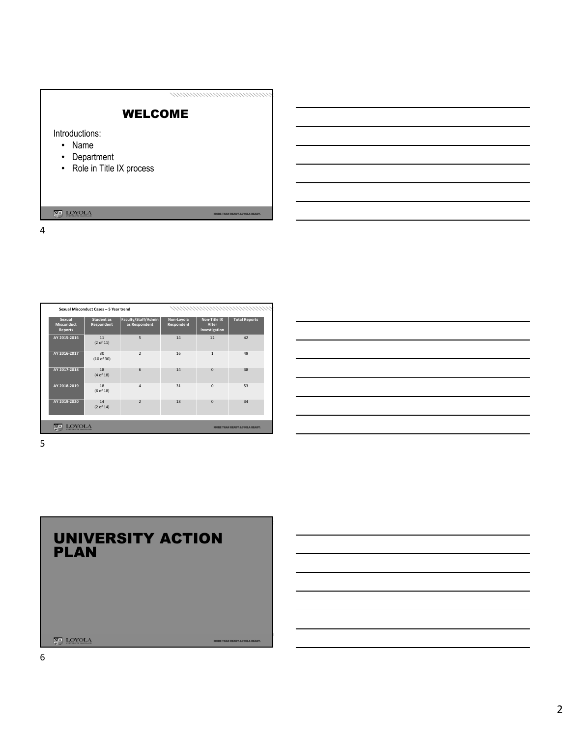### $\begin{tabular}{|c|c|c|c|} \hline \hline \textbf{QCD} & \textbf{LOYOLA} \\ \hline \textbf{QCD} & \textbf{0.00000} \\ \hline \end{tabular}$

# UNIVERSITY ACTION PLAN

# 5

| Sexual<br><b>Misconduct</b><br><b>Reports</b> | <b>Student as</b><br>Respondent | Faculty/Staff/Admin<br>as Respondent | Non-Loyola<br>Respondent | Non-Title IX<br>After<br>investigation | <b>Total Reports</b> |
|-----------------------------------------------|---------------------------------|--------------------------------------|--------------------------|----------------------------------------|----------------------|
| AY 2015-2016                                  | 11<br>(2 of 11)                 | 5                                    | 14                       | 12                                     | 42                   |
| AY 2016-2017                                  | 30<br>(10 of 30)                | $\overline{z}$                       | 16                       | $\mathbf{1}$                           | 49                   |
| AY 2017-2018                                  | 18<br>(4 of 18)                 | $\overline{6}$                       | 14                       | $\Omega$                               | 38                   |
| AY 2018-2019                                  | 18<br>$(6$ of $18)$             | $\overline{a}$                       | 31                       | $\Omega$                               | 53                   |
| AY 2019-2020                                  | 14<br>(2 of 14)                 | $\overline{\phantom{a}}$             | 18                       | $\Omega$                               | 34                   |

| ports         |  |  |  |
|---------------|--|--|--|
|               |  |  |  |
|               |  |  |  |
|               |  |  |  |
|               |  |  |  |
|               |  |  |  |
|               |  |  |  |
|               |  |  |  |
|               |  |  |  |
|               |  |  |  |
| <b>READY.</b> |  |  |  |
|               |  |  |  |

**TH** LOYOLA

4

• Role in Title IX process

Introductions: • Name • Department

# WELCOME

,,,,,,,,,,,,,,,,,,,,,,,,,,,,,,

MORE THAN READY. LOYOLA READY.

MORE THAN READY. LOYOLA READY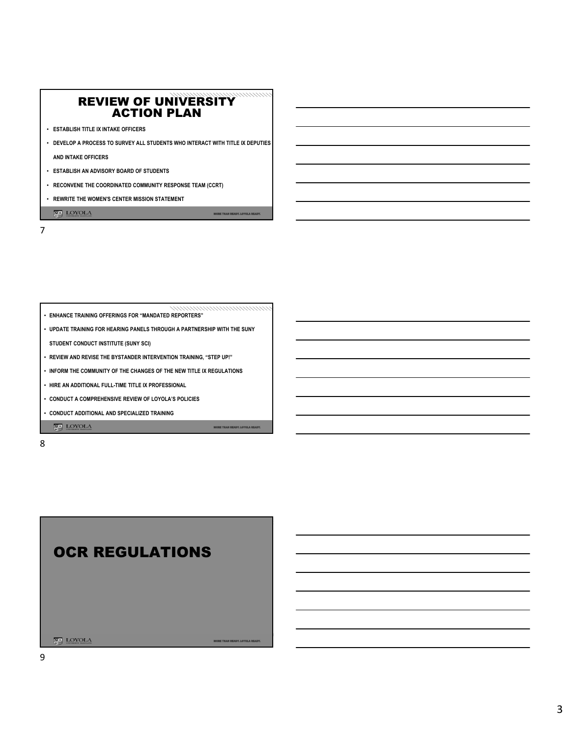| <b>REVIEW OF UNIVERSITY</b> |  |
|-----------------------------|--|
| <b>ACTION PLAN</b>          |  |

• **ESTABLISH TITLE IX INTAKE OFFICERS**

• **DEVELOP A PROCESS TO SURVEY ALL STUDENTS WHO INTERACT WITH TITLE IX DEPUTIES AND INTAKE OFFICERS**

MORE THAN READY. LOYOLA READY.

MORE THAN READY. LOYOLA REA

- **ESTABLISH AN ADVISORY BOARD OF STUDENTS**
- **RECONVENE THE COORDINATED COMMUNITY RESPONSE TEAM (CCRT)**

• **REWRITE THE WOMEN'S CENTER MISSION STATEMENT**

 $\begin{tabular}{|c|c|c|c|} \hline \textbf{0} & \textbf{LOYOLA} \\ \hline \textbf{0} & \textbf{0} & \textbf{0} & \textbf{0} & \textbf{0} & \textbf{0} \\ \hline \textbf{0} & \textbf{0} & \textbf{0} & \textbf{0} & \textbf{0} & \textbf{0} \\ \hline \textbf{0} & \textbf{0} & \textbf{0} & \textbf{0} & \textbf{0} & \textbf{0} \\ \hline \textbf{0} & \textbf{0} & \textbf{0} & \textbf{0} & \textbf{0} & \textbf{0} & \textbf{$ 

7

,,,,,,,,,,,,,,,,,,,,,,,,,,,,,, • **ENHANCE TRAINING OFFERINGS FOR "MANDATED REPORTERS"**

• **UPDATE TRAINING FOR HEARING PANELS THROUGH A PARTNERSHIP WITH THE SUNY STUDENT CONDUCT INSTITUTE (SUNY SCI)**

• **REVIEW AND REVISE THE BYSTANDER INTERVENTION TRAINING, "STEP UP!"**

• **INFORM THE COMMUNITY OF THE CHANGES OF THE NEW TITLE IX REGULATIONS**

• **HIRE AN ADDITIONAL FULL-TIME TITLE IX PROFESSIONAL**

• **CONDUCT A COMPREHENSIVE REVIEW OF LOYOLA'S POLICIES**

• **CONDUCT ADDITIONAL AND SPECIALIZED TRAINING**

 $\underset{\text{cusp}}{\underbrace{\text{P}}\text{}}$  LOYOLA

8

# OCR REGULATIONS

 $\overline{\text{C}}$  LOYOLA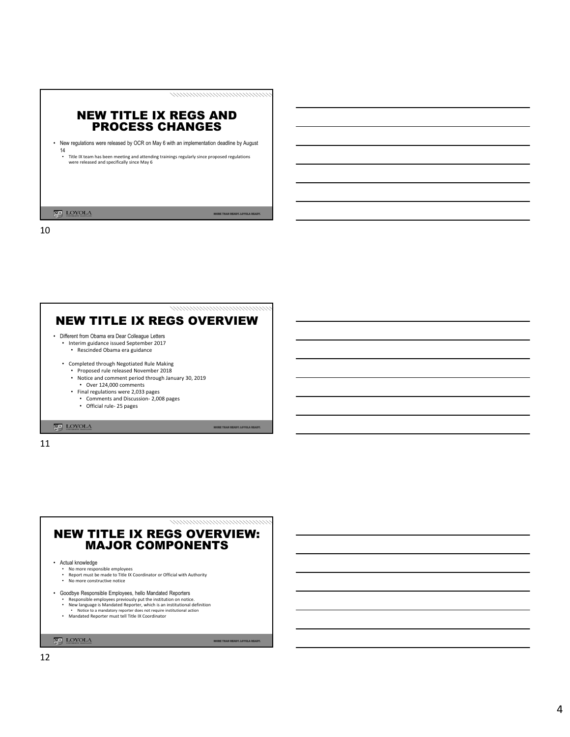MORE THAN READY. LOYOLA READY

## NEW TITLE IX REGS AND PROCESS CHANGES

- New regulations were released by OCR on May 6 with an implementation deadline by August 14
	- Title IX team has been meeting and attending trainings regularly since proposed regulations were released and specifically since May 6

**TA LOYOLA** 

10



11

## NEW TITLE IX REGS OVERVIEW: MAJOR COMPONENTS

,,,,,,,,,,,,,,,,,,,,,,,,,,,,,

MORE THAN READY. LOYOLA READY

- Actual knowledge
	-
	- No more responsible employees Report must be made to Title IX Coordinator or Official with Authority
	- No more constructive notice

- Goodbye Responsible Employees, hello Mandated Reporters Responsible employees previously put the institution on notice. New language is Mandated Reporter, which is an institutional definition
	-
	- Notice to a mandatory reporter does not require institutional action Mandated Reporter must tell Title IX Coordinator

 $\begin{tabular}{|c|c|c|c|} \hline \hline \textbf{QCD} & \textbf{LOYOLA} \\ \hline \textbf{QCD} & \textbf{0.00000} \\ \hline \end{tabular}$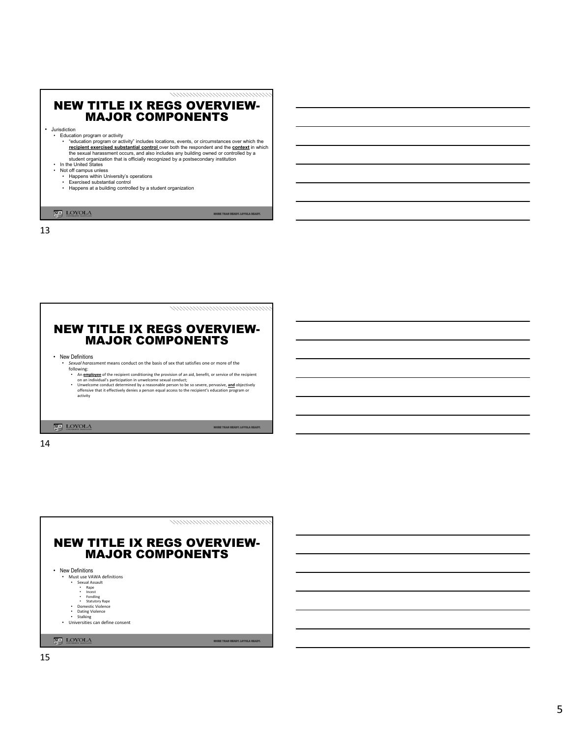

MORE THAN READY. LOYOLA READY.

- Happens within University's operations Exercised substantial control
- 
- Happens at a building controlled by a student organization

 $\begin{tabular}{|c|c|c|c|} \hline \textbf{OIA} & LOYOLA \\ \hline \textbf{C} & \textbf{M} & \textbf{M} & \textbf{M} & \textbf{M} \\ \hline \textbf{C} & \textbf{M} & \textbf{M} & \textbf{M} & \textbf{M} \\ \hline \textbf{C} & \textbf{M} & \textbf{M} & \textbf{M} & \textbf{M} & \textbf{M} \\ \hline \textbf{D} & \textbf{M} & \textbf{M} & \textbf{M} & \textbf{M} & \textbf{M} & \textbf{M} \\ \hline \textbf{D} & \textbf{M$ 

13



14



 $\overline{\underset{\scriptscriptstyle \mathrm{CFT}}{\mathrm{CFT}}}$ LOYOLA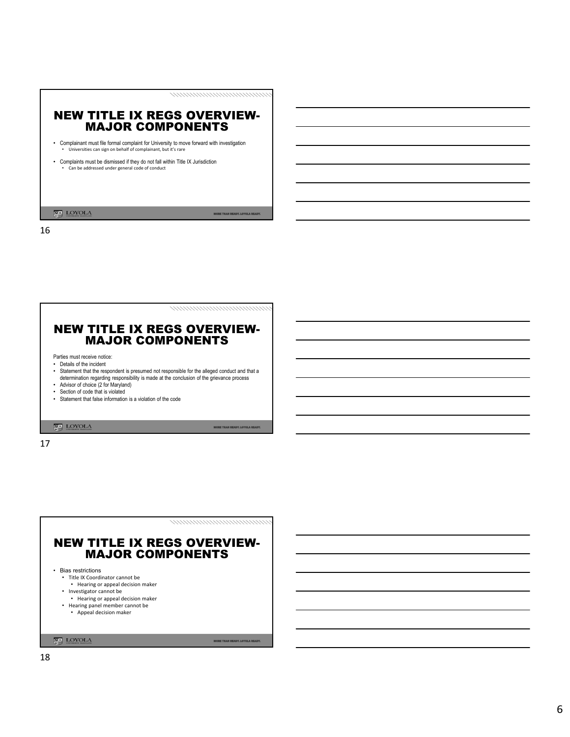MORE THAN READY. LOYOLA READY

,,,,,,,,,,,,,,,,,,,,,,,,,,,,,

MORE THAN READY. LOYOLA READY

## NEW TITLE IX REGS OVERVIEW-MAJOR COMPONENTS

- Complainant must file formal complaint for University to move forward with investigation • Universities can sign on behalf of complainant, but it's rare
- Complaints must be dismissed if they do not fall within Title IX Jurisdiction • Can be addressed under general code of conduct

#### **TA LOYOLA**

16



Parties must receive notice: • Details of the incident

- Statement that the respondent is presumed not responsible for the alleged conduct and that a determination regarding responsibility is made at the conclusion of the grievance process
- Advisor of choice (2 for Maryland)
- Section of code that is violated
- Statement that false information is a violation of the code

 $\underset{\text{e.g.}}{\underbrace{\text{M}}\text{O}}$  LOYOLA

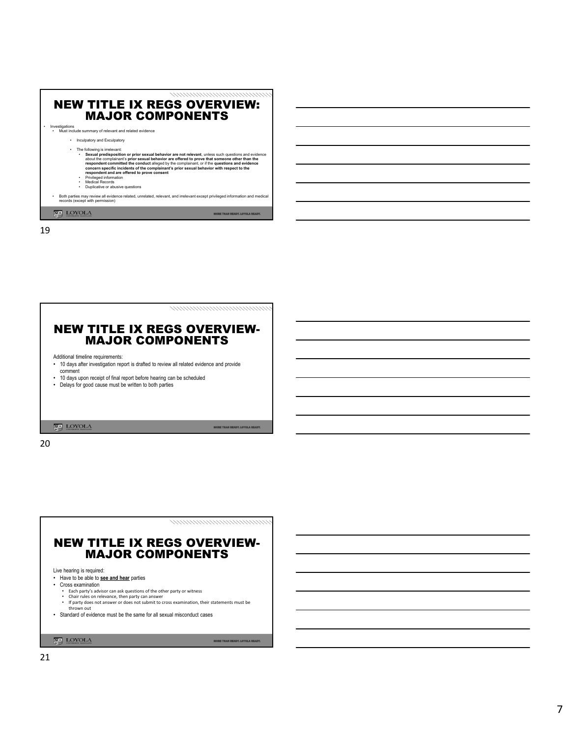| ,,,,,,,,,,,,,,,,,,,,,,,,,,,<br><b>NEW TITLE IX REGS OVERVIEW:</b><br><b>MAJOR COMPONENTS</b>                                                                                                                                                                                                                                                                                                                                                                                                                                                                        |
|---------------------------------------------------------------------------------------------------------------------------------------------------------------------------------------------------------------------------------------------------------------------------------------------------------------------------------------------------------------------------------------------------------------------------------------------------------------------------------------------------------------------------------------------------------------------|
| Investigations                                                                                                                                                                                                                                                                                                                                                                                                                                                                                                                                                      |
| Must include summary of relevant and related evidence                                                                                                                                                                                                                                                                                                                                                                                                                                                                                                               |
| Inculpatory and Exculpatory                                                                                                                                                                                                                                                                                                                                                                                                                                                                                                                                         |
| The following is irrelevant:<br>Sexual predisposition or prior sexual behavior are not relevant, unless such questions and evidence<br>about the complainant's prior sexual behavior are offered to prove that someone other than the<br>respondent committed the conduct alleged by the complainant, or if the questions and evidence<br>concern specific incidents of the complainant's prior sexual behavior with respect to the<br>respondent and are offered to prove consent<br>Privileged information<br>Medical Records<br>Duplicative or abusive questions |
| Both parties may review all evidence related, unrelated, relevant, and irrelevant except privileged information and medical<br>records (except with permission)                                                                                                                                                                                                                                                                                                                                                                                                     |
| RE THAN READY, LOYOLA READY.                                                                                                                                                                                                                                                                                                                                                                                                                                                                                                                                        |





,,,,,,,,,,,,,,,,,,,,,,,,,,,,, NEW TITLE IX REGS OVERVIEW-MAJOR COMPONENTS Live hearing is required: • Have to be able to **see and hear** parties • Cross examination • Each party's advisor can ask questions of the other party or witness<br>• Chair rules on relevance, then party can answer<br>• If party does not answer or does not submit to cross examination, their statements must be thrown out

• Standard of evidence must be the same for all sexual misconduct cases

 $\begin{tabular}{|c|c|c|c|} \hline \hline \hline \textbf{0} & \textbf{LOYOLA} \\ \hline \textbf{0} & \textbf{0} & \textbf{0} & \textbf{0} \\ \hline \textbf{0} & \textbf{0} & \textbf{0} & \textbf{0} \\ \hline \textbf{0} & \textbf{0} & \textbf{0} & \textbf{0} \\ \hline \textbf{0} & \textbf{0} & \textbf{0} & \textbf{0} \\ \hline \textbf{0} & \textbf{0} & \textbf{0} & \textbf{0} \\ \hline \textbf{0} & \textbf{0} & \textbf{0}$ 

MORE THAN READY. LOYOLA READY.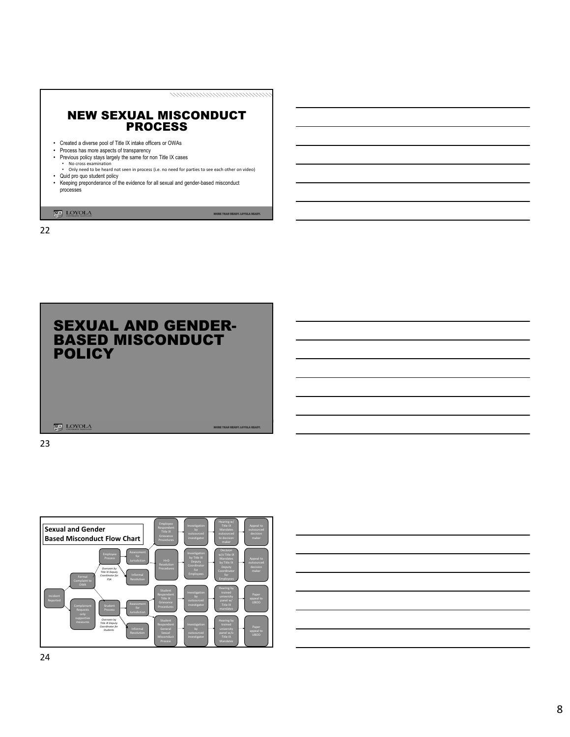MORE THAN READY. LOYOLA READY

RE THAN READY. LOYOLA

## NEW SEXUAL MISCONDUCT **PROCESS**

• Created a diverse pool of Title IX intake officers or OWAs

#### • Process has more aspects of transparency

- Previous policy stays largely the same for non Title IX cases
	- No cross examination Only need to be heard not seen in process (i.e. no need for parties to see each other on video)
- Quid pro quo student policy Keeping preponderance of the evidence for all sexual and gender-based misconduct processes

 $\begin{tabular}{|c|c|c|c|} \hline \hline \hline \textbf{Z} & \textbf{LOYOLA} \\ \hline \textbf{C} & \textbf{M} & \textbf{MSE-1} \\ \hline \end{tabular}$ 

22

# SEXUAL AND GENDER-BASED MISCONDUCT **POLICY**

 $\overline{\underset{\scriptscriptstyle \mathrm{crys}}{\mathbf{C}}}\hspace{-0.5mm}\underset{\scriptscriptstyle \mathrm{crysus}}{\mathbf{C}}\hspace{-0.5mm}\underset{\scriptscriptstyle \mathrm{crysus}}{\mathbf{C}}\hspace{-0.5mm}\mathbf{C}}{\mathbf{LOYOLA}}$ 



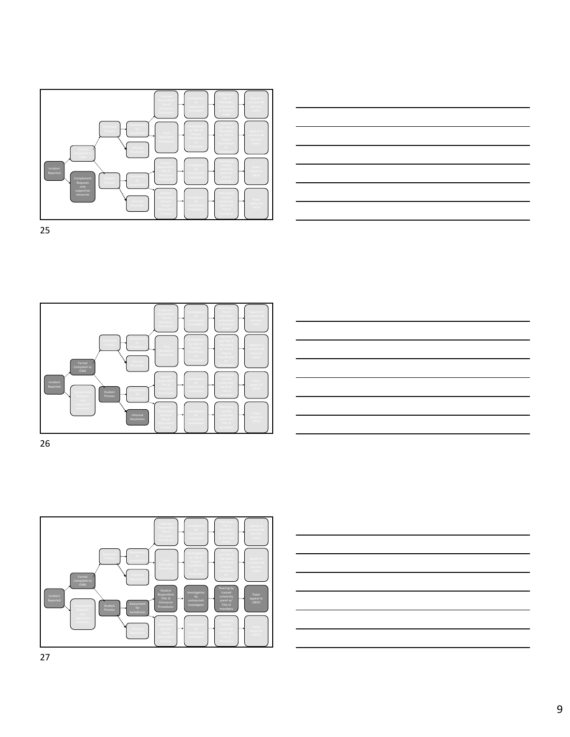









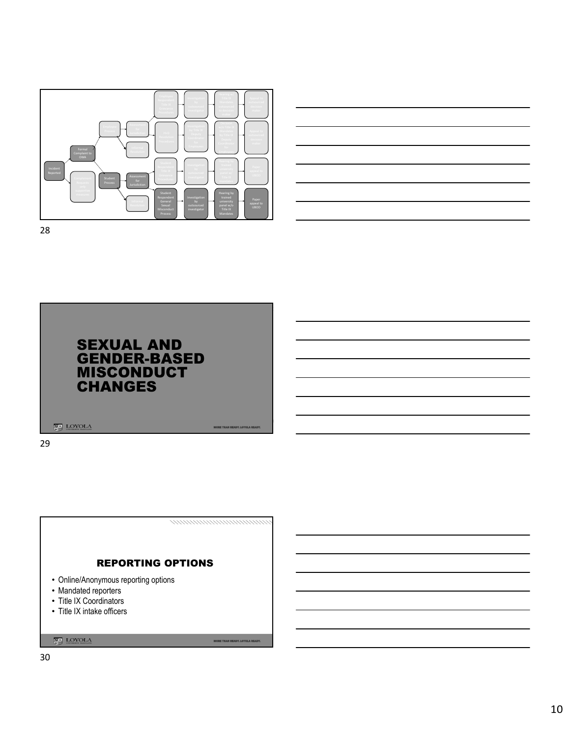

| ,我们也不会有什么?""我们的人,我们也不会有什么?""我们的人,我们也不会有什么?""我们的人,我们也不会有什么?""我们的人,我们也不会有什么?""我们的人 |  |                                                                                                                                                                                                                                      |        |
|----------------------------------------------------------------------------------|--|--------------------------------------------------------------------------------------------------------------------------------------------------------------------------------------------------------------------------------------|--------|
|                                                                                  |  |                                                                                                                                                                                                                                      | ______ |
| ,我们也不会有什么。""我们的人,我们也不会有什么?""我们的人,我们也不会有什么?""我们的人,我们也不会有什么?""我们的人,我们也不会有什么?""我们的人 |  |                                                                                                                                                                                                                                      |        |
|                                                                                  |  | <u> The Community of the Community of the Community of the Community of the Community of the Community of the Community of the Community of the Community of the Community of the Community of the Community of the Community of</u> |        |
|                                                                                  |  |                                                                                                                                                                                                                                      |        |
|                                                                                  |  |                                                                                                                                                                                                                                      |        |

SEXUAL AND GENDER-BASED MISCONDUCT **CHANGES** 

 $\overline{\underset{\scriptscriptstyle \mathrm{CFT}}{\mathrm{O}}}\ \mathrm{LOYOLA}$ 

29

,,,,,,,,,,,,,,,,,,,,,,,,,,,,,,

MORE THAN READY. LOYOLA READY

## REPORTING OPTIONS

- Online/Anonymous reporting options
- Mandated reporters
- Title IX Coordinators
- Title IX intake officers

 $\begin{tabular}{|c|c|c|c|} \hline \hline \hline \textbf{0} & \textbf{LOYOLA} \\ \hline \textbf{0} & \textbf{0} & \textbf{0} & \textbf{0} \\ \hline \textbf{0} & \textbf{0} & \textbf{0} & \textbf{0} \\ \hline \textbf{0} & \textbf{0} & \textbf{0} & \textbf{0} \\ \hline \textbf{0} & \textbf{0} & \textbf{0} & \textbf{0} \\ \hline \textbf{0} & \textbf{0} & \textbf{0} & \textbf{0} \\ \hline \textbf{0} & \textbf{0} & \textbf{0}$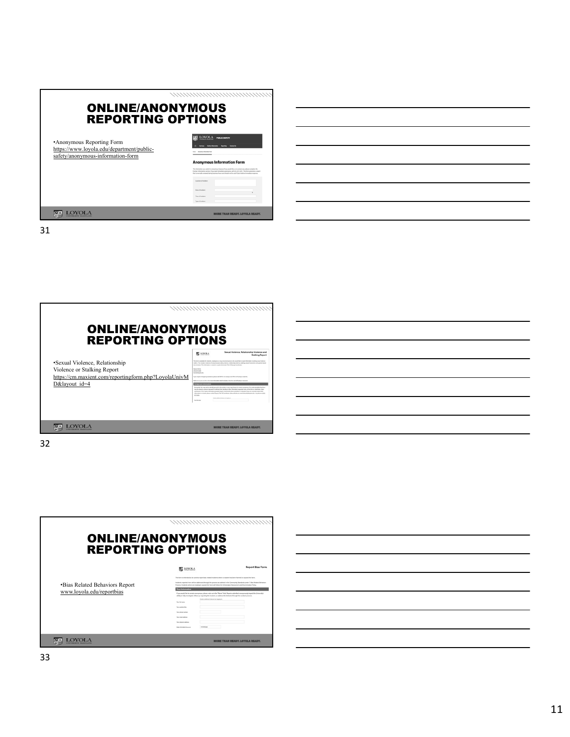| ////////////////////<br><b>ONLINE/ANONYMOUS</b><br><b>REPORTING OPTIONS</b>                                 |                                                                                                                                                                                                                                                                                                                                                                                                                                           |  |
|-------------------------------------------------------------------------------------------------------------|-------------------------------------------------------------------------------------------------------------------------------------------------------------------------------------------------------------------------------------------------------------------------------------------------------------------------------------------------------------------------------------------------------------------------------------------|--|
| •Anonymous Reporting Form<br>https://www.loyola.edu/department/public-<br>safety/anonymous-information-form | <b>BUILD SAILTY</b><br>Yorks 1. Assessment Information Ford<br><b>Anonymous Information Form</b><br>The information pou submit is anonymous however if you would like us to contact you, please complete the<br>Contact Information section. If you need insteadable assistance, call £50.617.525. This have generates a report<br>that is normally reviewed during business hours and should not be used if you need an investible resp. |  |
|                                                                                                             | Lacation of Incident<br>Date of Incident<br>Time of Installate<br>Tupe of Incident                                                                                                                                                                                                                                                                                                                                                        |  |
|                                                                                                             | <b>IORE THAN READY, LOYOLA READY.</b>                                                                                                                                                                                                                                                                                                                                                                                                     |  |



32

|                                                                    | ,,,,,,,,,,,,,,,,,,,,,,,,,<br><b>ONLINE/ANONYMOUS</b><br><b>REPORTING OPTIONS</b>                                                                                                                                                                                                                                                                                                                                                                                                                                                                                                                                                                                                                                                                                                                                                                                                                                                                 |
|--------------------------------------------------------------------|--------------------------------------------------------------------------------------------------------------------------------------------------------------------------------------------------------------------------------------------------------------------------------------------------------------------------------------------------------------------------------------------------------------------------------------------------------------------------------------------------------------------------------------------------------------------------------------------------------------------------------------------------------------------------------------------------------------------------------------------------------------------------------------------------------------------------------------------------------------------------------------------------------------------------------------------------|
| <b>•Bias Related Behaviors Report</b><br>www.loyola.edu/reportbias | <b>Report Bias Form</b><br><b>EL LOYOLA</b><br>This form is intended to be used to report bias related incidents where a student has been harmed or caused the harm.<br>Incidents reported here will be addressed through the process as outlined in the Community Standards under 7. Bias Related Behaviors<br>Process, Incidents where an employee caused the harm will follow the University's Harassment and Discrimination Policy<br><b>Ing Internation</b><br>If you would like to remain enorymous, please note so in the "Name" field. Beports submitted enorymously impact the University's<br>ability to fully investigate, follow-up requesting the incident, or address the behavior through the conduct process.<br>Fourtee adultional features by treasing in<br><b>You hat summer</b><br><b>War production</b><br>Your ahong number<br>Your around additional<br><b>Was showed abbase</b><br>novadore<br>Date of incident descend |
|                                                                    | <b>MORE THAN READY, LOYOLA READY.</b>                                                                                                                                                                                                                                                                                                                                                                                                                                                                                                                                                                                                                                                                                                                                                                                                                                                                                                            |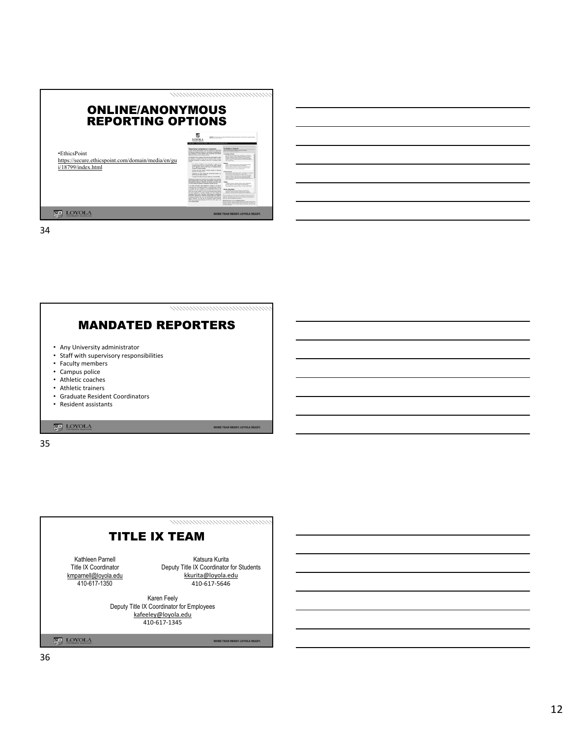





 $\begin{tabular}{|c|c|c|c|} \hline \hline \textbf{QCD} & \textbf{LOYOLA} \\ \hline \textbf{QCD} & \textbf{0.00000} \\ \hline \end{tabular}$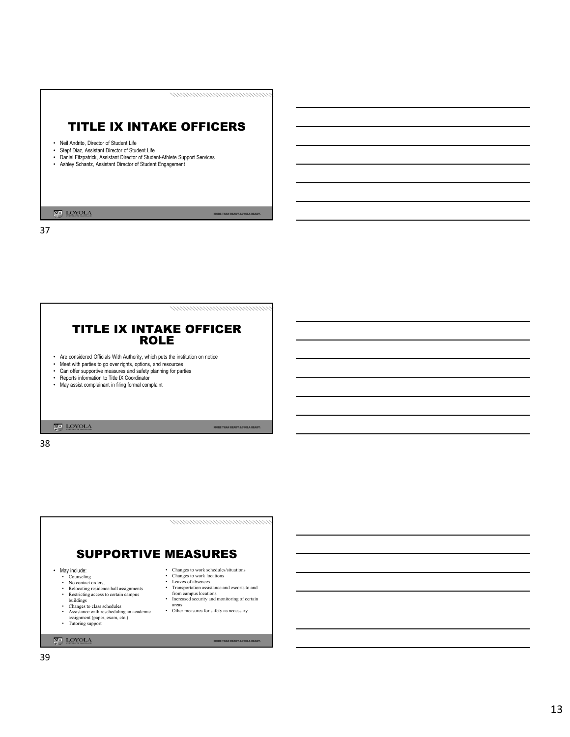MORE THAN READY. LOYOLA READY.

## TITLE IX INTAKE OFFICERS

- Neil Andrito, Director of Student Life
- Stepf Diaz, Assistant Director of Student Life
- Daniel Fitzpatrick, Assistant Director of Student-Athlete Support Services • Ashley Schantz, Assistant Director of Student Engagement
- **TA LOYOLA**

37



 $\underset{\text{e.g.}}{\underbrace{\text{M}}\text{O}}$  LOYOLA

38

,,,,,,,,,,,,,,,,,,,,,,,,,,,,,, SUPPORTIVE MEASURES • Changes to work schedules/situ • May include:<br>• Counseling<br>• No contact orders,<br>• Restricting access to certain campus<br>• Restricting access to certain campus • Changes to work locations • Leaves of absences • Transportation assistance and escorts to and from campus locations • Increased security and monitoring of certain buildings • Changes to class schedules • Assistance with rescheduling an academic areas • Other measures for safety as necessary assignment (paper, exam, etc.) • Tutoring support

#### **TA LOYOLA**

MORE THAN READY. LOYOLA READY

MORE THAN READY. LOYOLA READY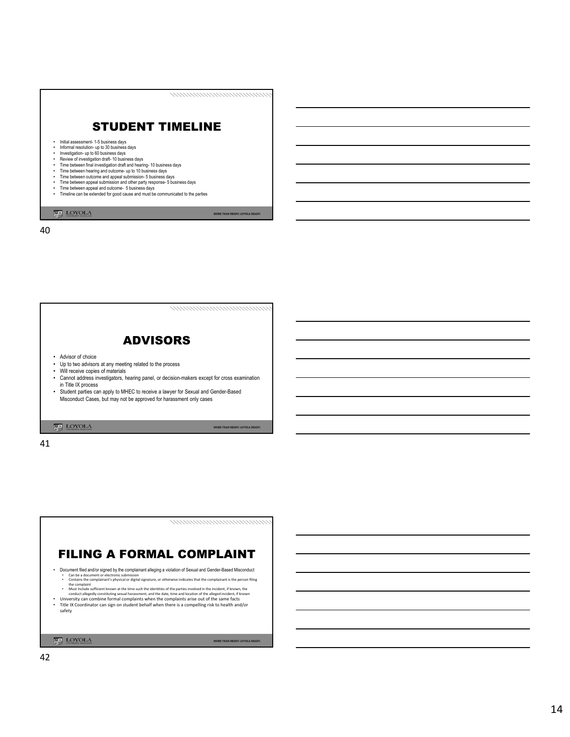MORE THAN READY. LOYOLA READY.

,,,,,,,,,,,,,,,,,,,,,,,,,,,,,,

MORE THAN READY. LOYOLA READY

## STUDENT TIMELINE

- 
- Initial assessment- 1-5 business days Informal resolution- up to 30 business days Investigation- up to 60 business days
- 
- Review of investigation draft 10 business days<br>• Time between final investigation draft and hearing 10 business days<br>• Time between hearing and outcome- up to 10 business days<br>• Time between outcome and appeal submis
- 
- 
- 
- Time between appeal and outcome- 5 business days Timeline can be extended for good cause and must be communicated to the parties

**MA LOYOLA** 

40

• Advisor of choice • Up to two advisors at any meeting related to the process<br>• Will receive copies of materials • Will receive copies of materials • Cannot address investigators, hearing panel, or decision-makers except for cross examination ADVISORS

in Title IX process • Student parties can apply to MHEC to receive a lawyer for Sexual and Gender-Based Misconduct Cases, but may not be approved for harassment only cases

 $\underbrace{\mathbf{U}\mathbf{A}}_{\text{current}}\ \ \underline{\mathbf{LOYOL}}_{\text{restriction MAMING}}$ 

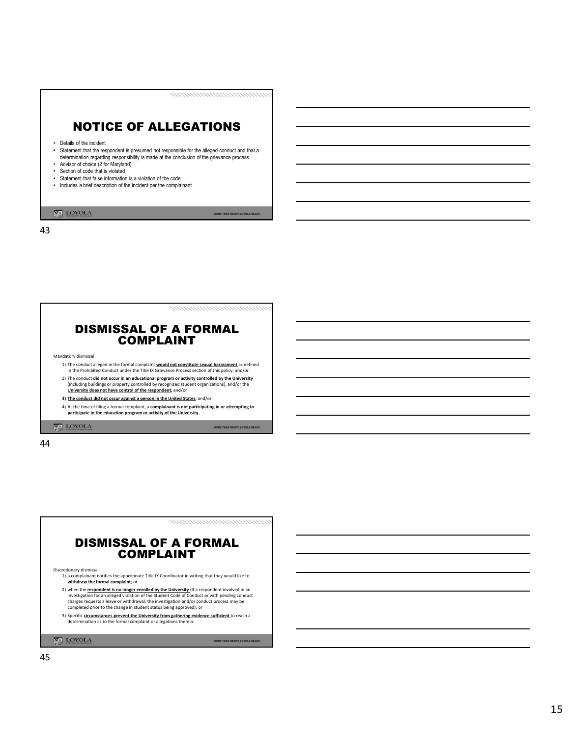MORE THAN READY. LOYOLA READY

## NOTICE OF ALLEGATIONS

- Details of the incident<br>• Statement that the res
- Statement that the respondent is presumed not responsible for the alleged conduct and that a determination regarding responsibility is made at the conclusion of the grievance process
- Advisor of choice (2 for Maryland)
- Section of code that is violated
- Statement that false information is a violation of the code
- Includes a brief description of the incident per the complainant

### $\frac{1}{2}$  LOYOLA

43



44



MORE THAN READY. LOYOLA READY

**ZA LOYOLA**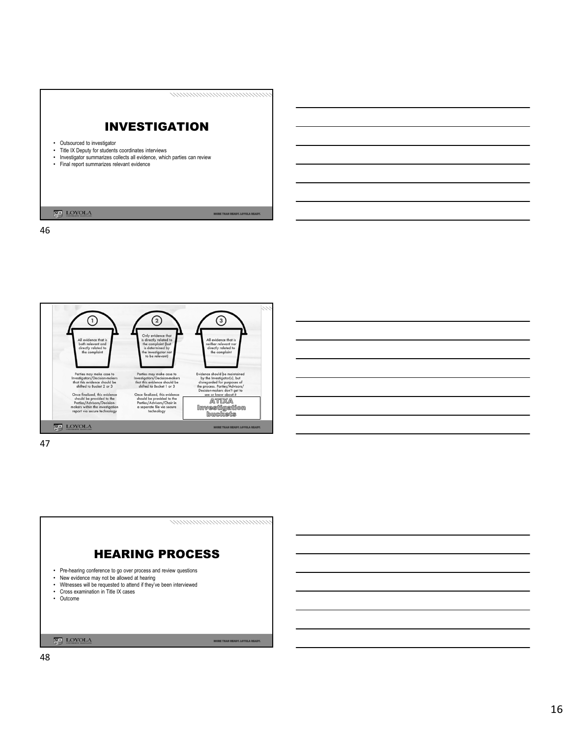MORE THAN READY. LOYOLA READY.

## INVESTIGATION

- Outsourced to investigator
- Title IX Deputy for students coordinates interviews
- Investigator summarizes collects all evidence, which parties can review • Final report summarizes relevant evidence
- 

 $\frac{1}{2}$  LOYOLA

46





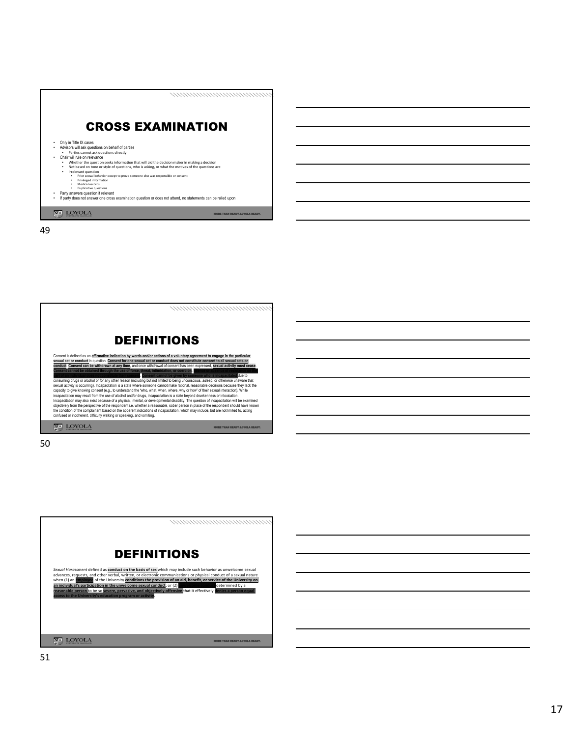



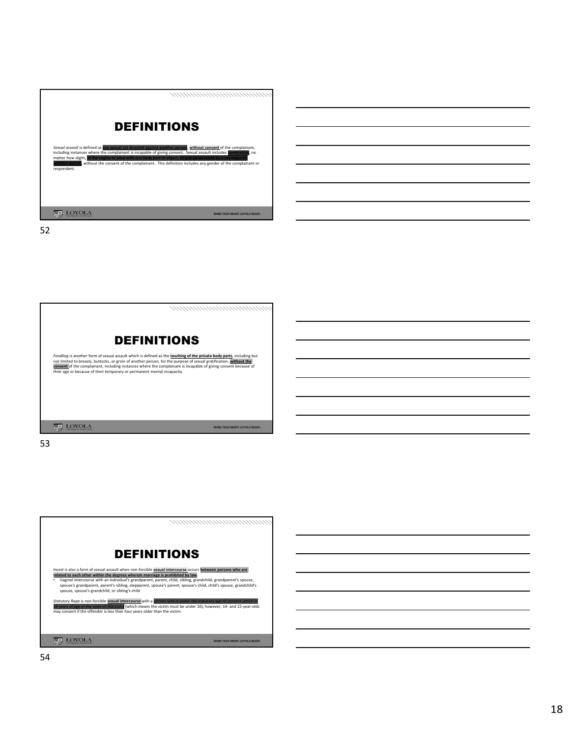



53

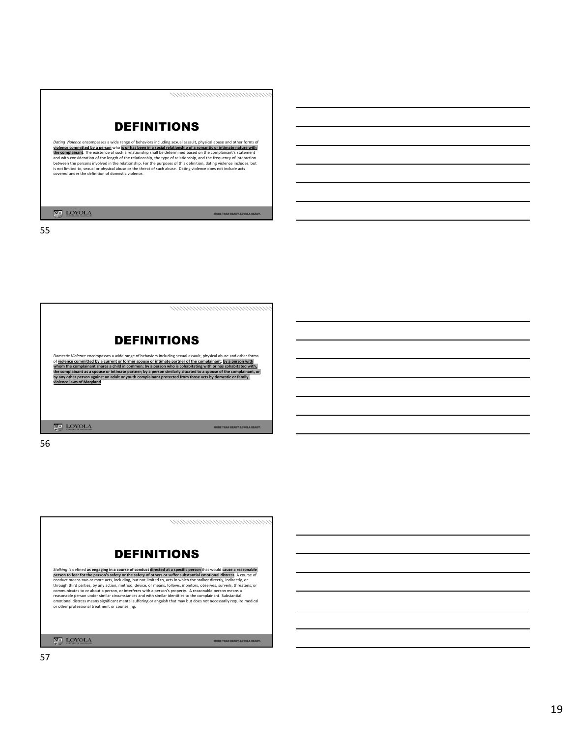,,,,,,,,,,,,,,,,,,,,,,,,,,,,, DEFINITIONS Dating Violence encompasses a wide range of behaviors including sexual assault, physical abuse and other forms of violence committed by a person who is or has been in a social relationship of a commattic or intimate nature **U.S.** LOYOLA MORE THAN READY. LOYOLA READY.

#### 55



56

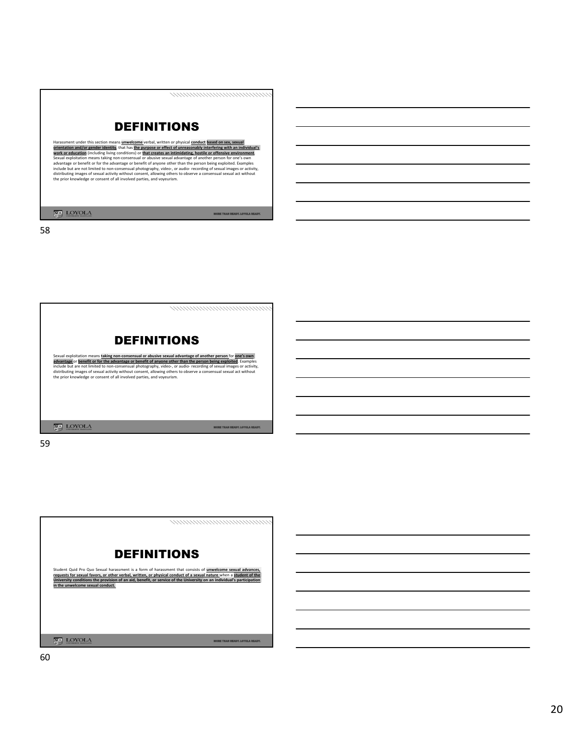,,,,,,,,,,,,,,,,,,,,,,,,,,,,, DEFINITIONS Harassment under this section means <u>unwelcome</u> verbal, written or physical <u>conduct based on sex, sexuall</u><br>orientation and/or gender identity, that has the purpose or effect of unreasonably interfering with an individual<br>

MORE THAN READY. LOYOLA READY.

**TA LOYOLA** 58

,,,,,,,,,,,,,,,,,,,,,,,,,,,,, DEFINITIONS Sexual exploitation means taking non-consensual or abusive sexual advantage of another person for <u>one's own</u><br>advantage or benefit or for the advantage or benefit of anyone other than the person being exploited. Examples<br>i  $\underset{\text{transverse}}{\underbrace{\text{QLO}}}\ \text{LOYOLA}$ MORE THAN READY. LOYOLA READY.

59

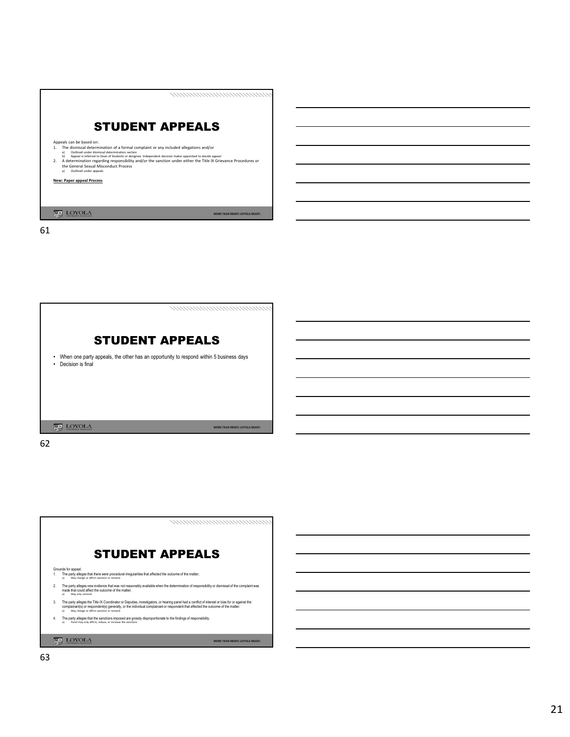,,,,,,,,,,,,,,,,,,,,,,,,,,,,, STUDENT APPEALS Appeals can be based on:<br>
1. The dismissal determination of a formal complaint or any included allegations and/or<br>
1. The dismissal determination asction<br>
1. Whereast is relevant of beam of Suddents of delignes. Independen **New: Paper appeal Process**

MORE THAN READY. LOYOLA READY.

MORE THAN READY. LOYOLA READY.

 $\begin{tabular}{|c|c|c|c|} \hline \textbf{OIA} & LOYOLA \\ \hline \textbf{C} & \textbf{M} & \textbf{M} & \textbf{M} & \textbf{M} \\ \hline \textbf{C} & \textbf{M} & \textbf{M} & \textbf{M} & \textbf{M} \\ \hline \textbf{C} & \textbf{M} & \textbf{M} & \textbf{M} & \textbf{M} & \textbf{M} \\ \hline \textbf{D} & \textbf{M} & \textbf{M} & \textbf{M} & \textbf{M} & \textbf{M} & \textbf{M} \\ \hline \textbf{D} & \textbf{M$ 

61

,,,,,,,,,,,,,,,,,,,,,,,,,,,,,, STUDENT APPEALS • When one party appeals, the other has an opportunity to respond within 5 business days • Decision is final

62

 $\underset{\text{cyl}}{\underbrace{\text{PPA}}}$  LOYOLA